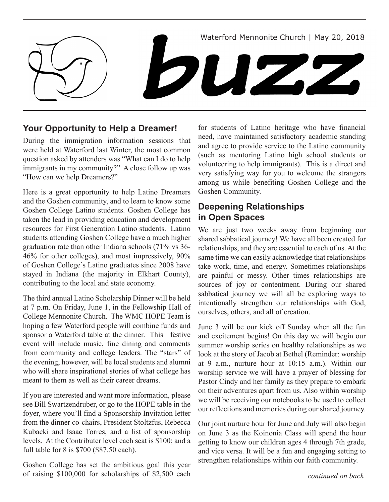

## **Your Opportunity to Help a Dreamer!**

During the immigration information sessions that were held at Waterford last Winter, the most common question asked by attenders was "What can I do to help immigrants in my community?" A close follow up was "How can we help Dreamers?"

Here is a great opportunity to help Latino Dreamers and the Goshen community, and to learn to know some Goshen College Latino students. Goshen College has taken the lead in providing education and development resources for First Generation Latino students. Latino students attending Goshen College have a much higher graduation rate than other Indiana schools (71% vs 36- 46% for other colleges), and most impressively, 90% of Goshen College's Latino graduates since 2008 have stayed in Indiana (the majority in Elkhart County), contributing to the local and state economy.

The third annual Latino Scholarship Dinner will be held at 7 p.m. On Friday, June 1, in the Fellowship Hall of College Mennonite Church. The WMC HOPE Team is hoping a few Waterford people will combine funds and sponsor a Waterford table at the dinner. This festive event will include music, fine dining and comments from community and college leaders. The "stars" of the evening, however, will be local students and alumni who will share inspirational stories of what college has meant to them as well as their career dreams.

If you are interested and want more information, please see Bill Swartzendruber, or go to the HOPE table in the foyer, where you'll find a Sponsorship Invitation letter from the dinner co-chairs, President Stoltzfus, Rebecca Kubacki and Isaac Torres, and a list of sponsorship levels. At the Contributer level each seat is \$100; and a full table for 8 is \$700 (\$87.50 each).

Goshen College has set the ambitious goal this year of raising \$100,000 for scholarships of \$2,500 each for students of Latino heritage who have financial need, have maintained satisfactory academic standing and agree to provide service to the Latino community (such as mentoring Latino high school students or volunteering to help immigrants). This is a direct and very satisfying way for you to welcome the strangers among us while benefiting Goshen College and the Goshen Community.

## **Deepening Relationships in Open Spaces**

We are just two weeks away from beginning our shared sabbatical journey! We have all been created for relationships, and they are essential to each of us. At the same time we can easily acknowledge that relationships take work, time, and energy. Sometimes relationships are painful or messy. Other times relationships are sources of joy or contentment. During our shared sabbatical journey we will all be exploring ways to intentionally strengthen our relationships with God, ourselves, others, and all of creation.

June 3 will be our kick off Sunday when all the fun and excitement begins! On this day we will begin our summer worship series on healthy relationships as we look at the story of Jacob at Bethel (Reminder: worship at 9 a.m., nurture hour at 10:15 a.m.). Within our worship service we will have a prayer of blessing for Pastor Cindy and her family as they prepare to embark on their adventures apart from us. Also within worship we will be receiving our notebooks to be used to collect our reflections and memories during our shared journey.

Our joint nurture hour for June and July will also begin on June 3 as the Koinonia Class will spend the hour getting to know our children ages 4 through 7th grade, and vice versa. It will be a fun and engaging setting to strengthen relationships within our faith community.